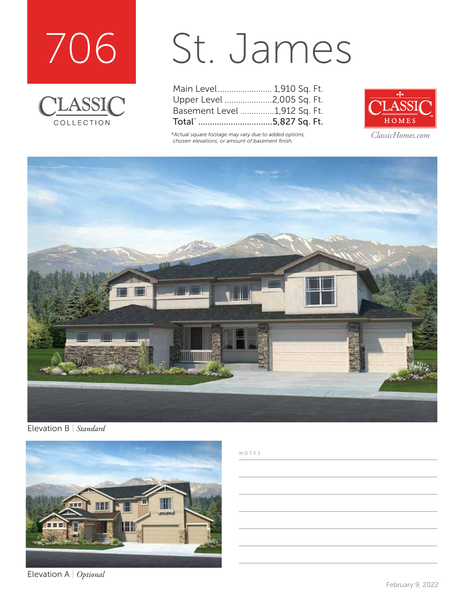



# St. James

| Main Level 1,910 Sq. Ft.     |  |
|------------------------------|--|
| Upper Level 2,005 Sq. Ft.    |  |
| Basement Level 1,912 Sq. Ft. |  |
| Total* 5,827 Sq. Ft.         |  |

*\*Actual square footage may vary due to added options, chosen elevations, or amount of basement finish.*



*ClassicHomes.com*



Elevation B | *Standard*



Elevation A | *Optional*

#### NOTES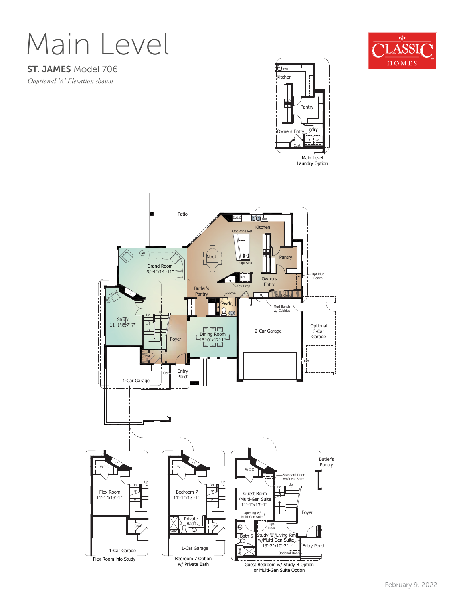## Main Level

#### ST. JAMES Model 706

*Ooptional 'A' Elevation shown*





**ble** 

or Multi-Gen Suite Option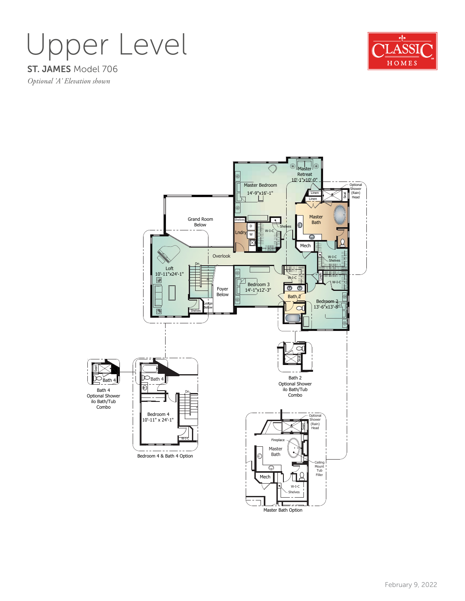### ST. JAMES Model 706 Upper Level



*Optional 'A' Elevation shown*